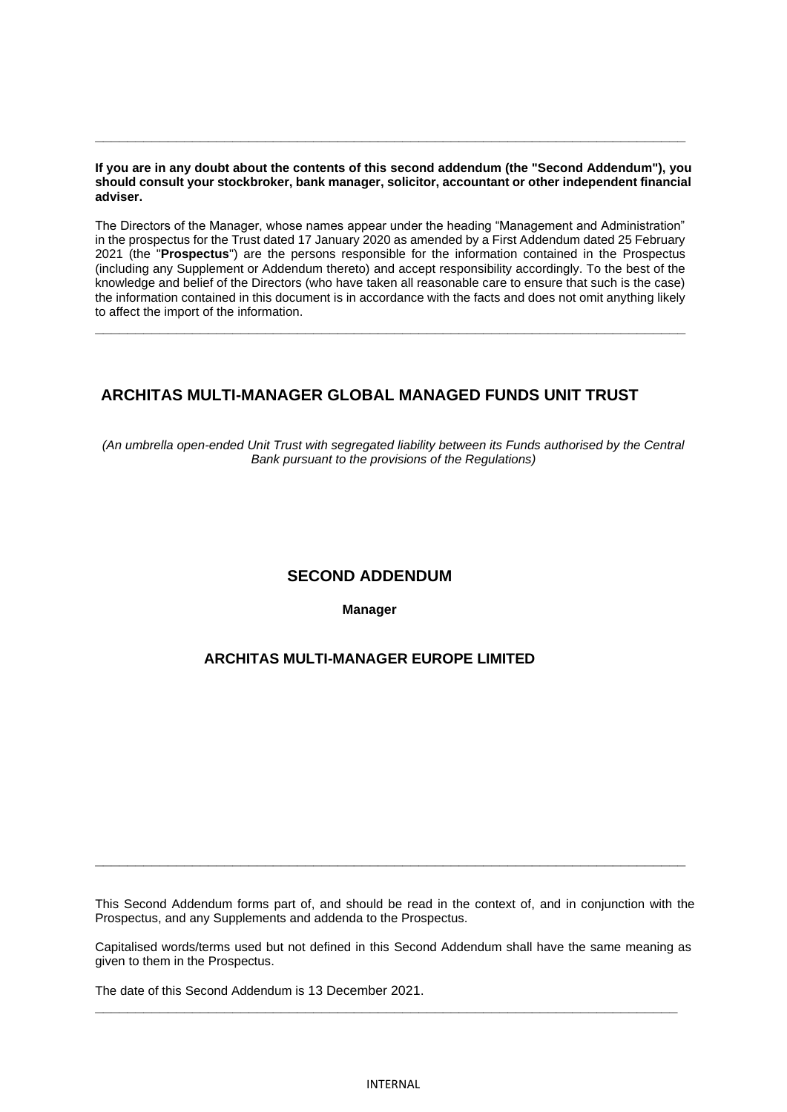#### **If you are in any doubt about the contents of this second addendum (the "Second Addendum"), you should consult your stockbroker, bank manager, solicitor, accountant or other independent financial adviser.**

**\_\_\_\_\_\_\_\_\_\_\_\_\_\_\_\_\_\_\_\_\_\_\_\_\_\_\_\_\_\_\_\_\_\_\_\_\_\_\_\_\_\_\_\_\_\_\_\_\_\_\_\_\_\_\_\_\_\_\_\_\_\_\_\_\_\_\_\_\_\_\_\_\_**

The Directors of the Manager, whose names appear under the heading "Management and Administration" in the prospectus for the Trust dated 17 January 2020 as amended by a First Addendum dated 25 February 2021 (the "**Prospectus**") are the persons responsible for the information contained in the Prospectus (including any Supplement or Addendum thereto) and accept responsibility accordingly. To the best of the knowledge and belief of the Directors (who have taken all reasonable care to ensure that such is the case) the information contained in this document is in accordance with the facts and does not omit anything likely to affect the import of the information.

**\_\_\_\_\_\_\_\_\_\_\_\_\_\_\_\_\_\_\_\_\_\_\_\_\_\_\_\_\_\_\_\_\_\_\_\_\_\_\_\_\_\_\_\_\_\_\_\_\_\_\_\_\_\_\_\_\_\_\_\_\_\_\_\_\_\_\_\_\_\_\_\_\_**

# **ARCHITAS MULTI-MANAGER GLOBAL MANAGED FUNDS UNIT TRUST**

*(An umbrella open-ended Unit Trust with segregated liability between its Funds authorised by the Central Bank pursuant to the provisions of the Regulations)*

## **SECOND ADDENDUM**

**Manager**

## **ARCHITAS MULTI-MANAGER EUROPE LIMITED**

This Second Addendum forms part of, and should be read in the context of, and in conjunction with the Prospectus, and any Supplements and addenda to the Prospectus.

**\_\_\_\_\_\_\_\_\_\_\_\_\_\_\_\_\_\_\_\_\_\_\_\_\_\_\_\_\_\_\_\_\_\_\_\_\_\_\_\_\_\_\_\_\_\_\_\_\_\_\_\_\_\_\_\_\_\_\_\_\_\_\_\_\_\_\_\_\_\_\_\_\_**

Capitalised words/terms used but not defined in this Second Addendum shall have the same meaning as given to them in the Prospectus.

**\_\_\_\_\_\_\_\_\_\_\_\_\_\_\_\_\_\_\_\_\_\_\_\_\_\_\_\_\_\_\_\_\_\_\_\_\_\_\_\_\_\_\_\_\_\_\_\_\_\_\_\_\_\_\_\_\_\_\_\_\_\_\_\_\_\_\_\_\_\_\_\_**

The date of this Second Addendum is 13 December 2021.